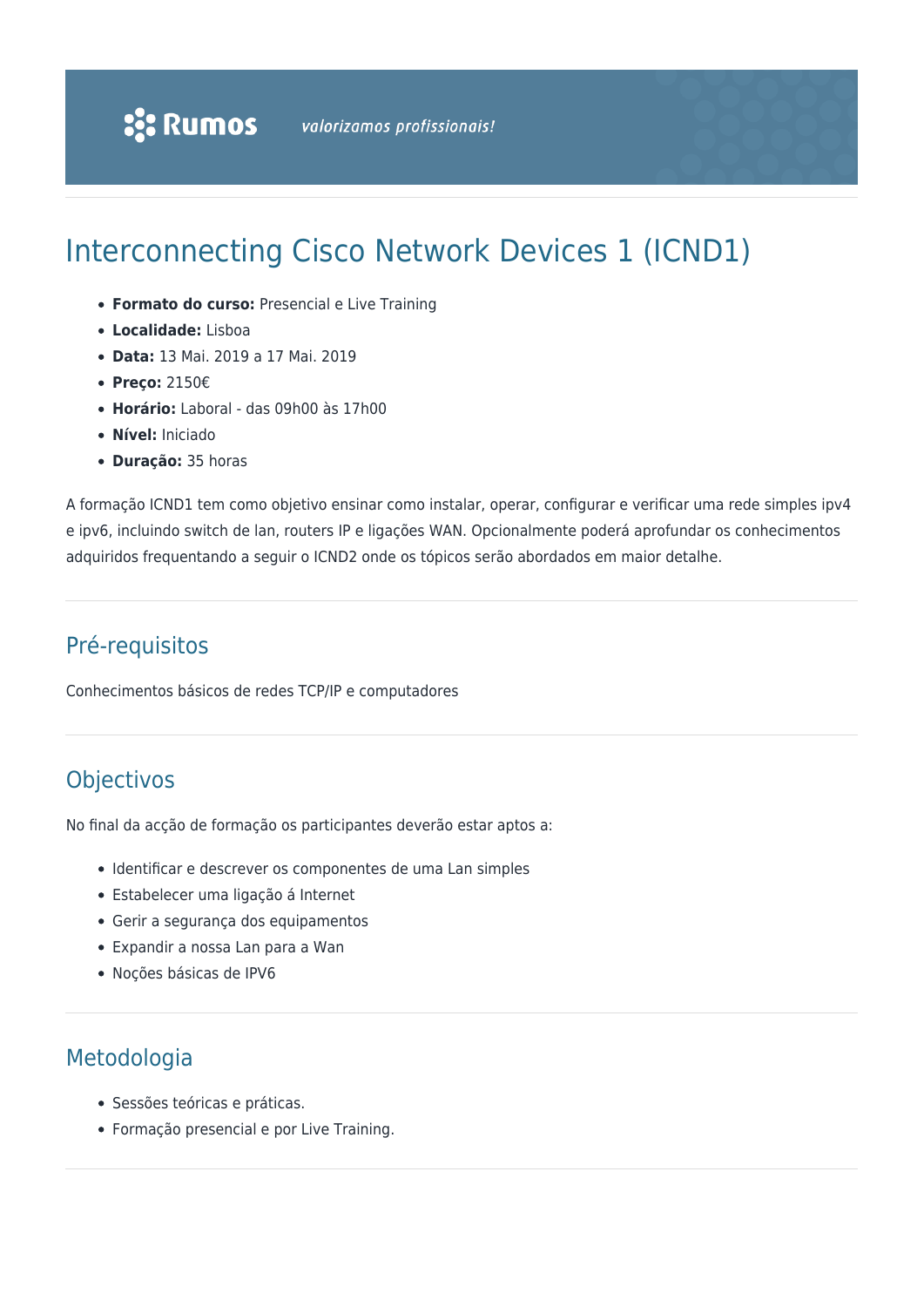# Interconnecting Cisco Network Devices 1 (ICND1)

- **Formato do curso:** Presencial e Live Training
- **Localidade:** Lisboa
- **Data:** 13 Mai. 2019 a 17 Mai. 2019
- **Preço:** 2150€
- **Horário:** Laboral das 09h00 às 17h00
- **Nível:** Iniciado
- **Duração:** 35 horas

A formação ICND1 tem como objetivo ensinar como instalar, operar, configurar e verificar uma rede simples ipv4 e ipv6, incluindo switch de lan, routers IP e ligações WAN. Opcionalmente poderá aprofundar os conhecimentos adquiridos frequentando a seguir o ICND2 onde os tópicos serão abordados em maior detalhe.

### Pré-requisitos

Conhecimentos básicos de redes TCP/IP e computadores

## **Objectivos**

No final da acção de formação os participantes deverão estar aptos a:

- Identificar e descrever os componentes de uma Lan simples
- Estabelecer uma ligação á Internet
- Gerir a segurança dos equipamentos
- Expandir a nossa Lan para a Wan
- Noções básicas de IPV6

### Metodologia

- Sessões teóricas e práticas.
- Formação presencial e por Live Training.